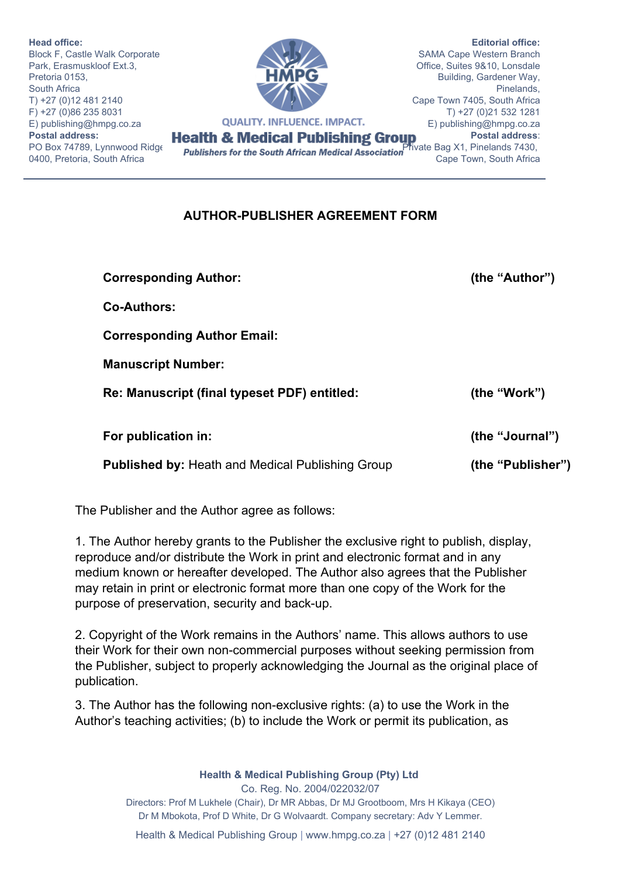**Head office:** Block F, Castle Walk Corporate Park, Erasmuskloof Ext.3, Pretoria 0153, South Africa T) +27 (0)12 481 2140  $F$ ) +27 (0)86 235 8031<br>F) publishing@hmpg.co.za **QUALITY. INFLUENCE. IMPACT.** E) publishing@hmpg.co.za **Postal address:**  0400, Pretoria, South Africa

**Editorial office:** SAMA Cape Western Branch Office, Suites 9&10, Lonsdale Building, Gardener Way, Pinelands, Cape Town 7405, South Africa T) +27 (0)21 532 1281 E) publishing@hmpg.co.za **Postal address**: Cape Town, South Africa

## **AUTHOR-PUBLISHER AGREEMENT FORM**

**Corresponding Author: (the "Author")**

Co-Authors:

**Corresponding Author Email:**

**Manuscript Number:** 

**Re: Manuscript (final typeset PDF) entitled: (the "Work")**

**For publication in: (the "Journal")**

**Published by:** Heath and Medical Publishing Group **(the "Publisher")**

The Publisher and the Author agree as follows:

1. The Author hereby grants to the Publisher the exclusive right to publish, display, reproduce and/or distribute the Work in print and electronic format and in any medium known or hereafter developed. The Author also agrees that the Publisher may retain in print or electronic format more than one copy of the Work for the purpose of preservation, security and back-up.

2. Copyright of the Work remains in the Authors' name. This allows authors to use their Work for their own non-commercial purposes without seeking permission from the Publisher, subject to properly acknowledging the Journal as the original place of publication.

3. The Author has the following nonexclusive rights: (a) to use the Work in the Author's teaching activities; (b) to include the Work or permit its publication, as

> **Health & Medical Publishing Group (Pty) Ltd**  Co. Reg. No. 2004/022032/07 Directors: Prof M Lukhele (Chair), Dr MR Abbas, Dr MJ Grootboom, Mrs H Kikaya (CEO) Dr M Mbokota, Prof D White, Dr G Wolvaardt. Company secretary: Adv Y Lemmer.

Health & Medical Publishing Group | www.hmpg.co.za | +27 (0)12 481 2140